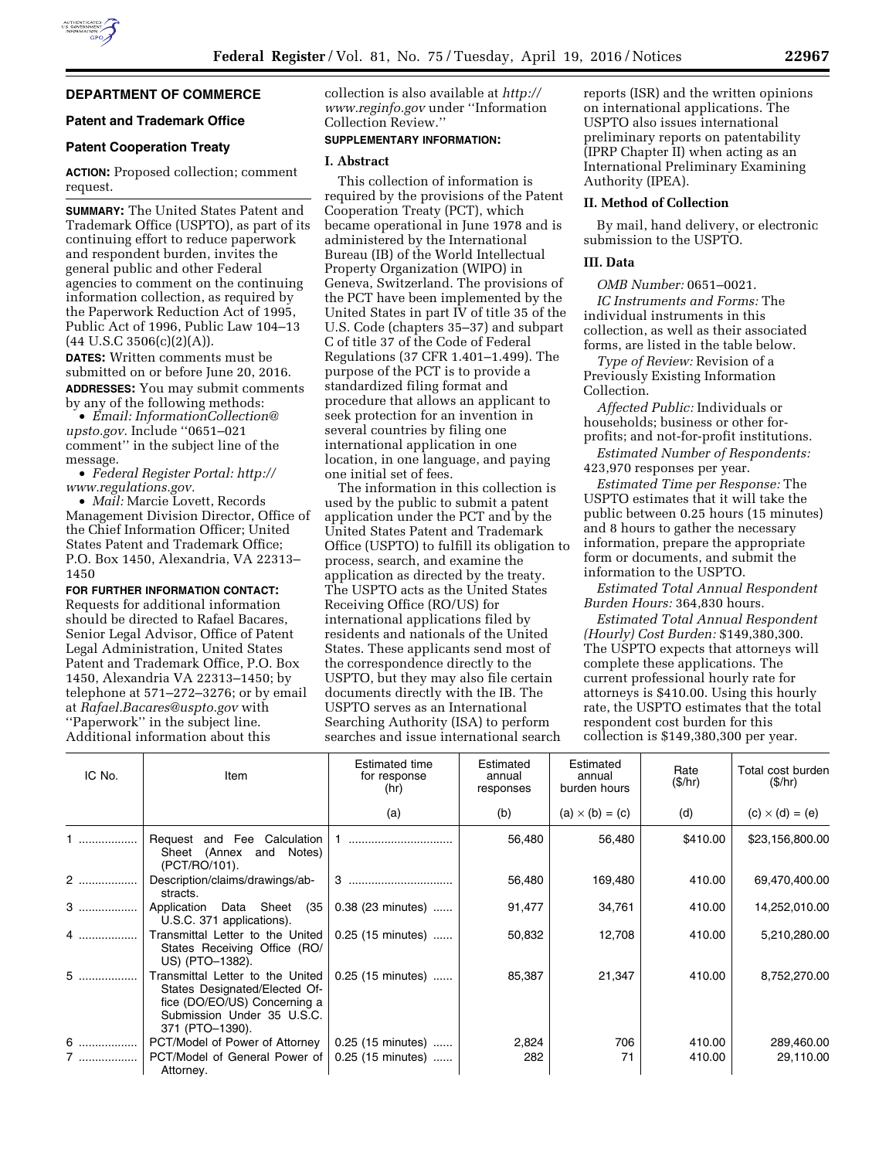# **DEPARTMENT OF COMMERCE**

# **Patent and Trademark Office**

# **Patent Cooperation Treaty**

**ACTION:** Proposed collection; comment request.

**SUMMARY:** The United States Patent and Trademark Office (USPTO), as part of its continuing effort to reduce paperwork and respondent burden, invites the general public and other Federal agencies to comment on the continuing information collection, as required by the Paperwork Reduction Act of 1995, Public Act of 1996, Public Law 104–13  $(44 \text{ U.S.C } 3506(c)(2)(A)).$ 

**DATES:** Written comments must be submitted on or before June 20, 2016. **ADDRESSES:** You may submit comments by any of the following methods:

• *Email: [InformationCollection@](mailto:InformationCollection@upsto.gov) [upsto.gov.](mailto:InformationCollection@upsto.gov)* Include ''0651–021 comment'' in the subject line of the message.

• *Federal Register Portal: [http://](http://www.regulations.gov) [www.regulations.gov.](http://www.regulations.gov)* 

• *Mail:* Marcie Lovett, Records Management Division Director, Office of the Chief Information Officer; United States Patent and Trademark Office; P.O. Box 1450, Alexandria, VA 22313– 1450

**FOR FURTHER INFORMATION CONTACT:** 

Requests for additional information should be directed to Rafael Bacares, Senior Legal Advisor, Office of Patent Legal Administration, United States Patent and Trademark Office, P.O. Box 1450, Alexandria VA 22313–1450; by telephone at 571–272–3276; or by email at *[Rafael.Bacares@uspto.gov](mailto:Rafael.Bacares@uspto.gov)* with ''Paperwork'' in the subject line. Additional information about this

collection is also available at *[http://](http://www.reginfo.gov) [www.reginfo.gov](http://www.reginfo.gov)* under ''Information Collection Review.''

# **SUPPLEMENTARY INFORMATION:**

#### **I. Abstract**

This collection of information is required by the provisions of the Patent Cooperation Treaty (PCT), which became operational in June 1978 and is administered by the International Bureau (IB) of the World Intellectual Property Organization (WIPO) in Geneva, Switzerland. The provisions of the PCT have been implemented by the United States in part IV of title 35 of the U.S. Code (chapters 35–37) and subpart C of title 37 of the Code of Federal Regulations (37 CFR 1.401–1.499). The purpose of the PCT is to provide a standardized filing format and procedure that allows an applicant to seek protection for an invention in several countries by filing one international application in one location, in one language, and paying one initial set of fees.

The information in this collection is used by the public to submit a patent application under the PCT and by the United States Patent and Trademark Office (USPTO) to fulfill its obligation to process, search, and examine the application as directed by the treaty. The USPTO acts as the United States Receiving Office (RO/US) for international applications filed by residents and nationals of the United States. These applicants send most of the correspondence directly to the USPTO, but they may also file certain documents directly with the IB. The USPTO serves as an International Searching Authority (ISA) to perform searches and issue international search

reports (ISR) and the written opinions on international applications. The USPTO also issues international preliminary reports on patentability (IPRP Chapter II) when acting as an International Preliminary Examining Authority (IPEA).

#### **II. Method of Collection**

By mail, hand delivery, or electronic submission to the USPTO.

### **III. Data**

*OMB Number:* 0651–0021.

*IC Instruments and Forms:* The individual instruments in this collection, as well as their associated forms, are listed in the table below.

*Type of Review:* Revision of a Previously Existing Information Collection.

*Affected Public:* Individuals or households; business or other forprofits; and not-for-profit institutions.

*Estimated Number of Respondents:*  423,970 responses per year.

*Estimated Time per Response:* The USPTO estimates that it will take the public between 0.25 hours (15 minutes) and 8 hours to gather the necessary information, prepare the appropriate form or documents, and submit the information to the USPTO.

*Estimated Total Annual Respondent Burden Hours:* 364,830 hours.

*Estimated Total Annual Respondent (Hourly) Cost Burden:* \$149,380,300. The USPTO expects that attorneys will complete these applications. The current professional hourly rate for attorneys is \$410.00. Using this hourly rate, the USPTO estimates that the total respondent cost burden for this collection is \$149,380,300 per year.

| IC No. | Item                                                                                                                                               | <b>Estimated time</b><br>for response<br>(hr) | Estimated<br>annual<br>responses | Estimated<br>annual<br>burden hours | Rate<br>(\$/hr) | Total cost burden<br>(\$/hr) |
|--------|----------------------------------------------------------------------------------------------------------------------------------------------------|-----------------------------------------------|----------------------------------|-------------------------------------|-----------------|------------------------------|
|        |                                                                                                                                                    | (a)                                           | (b)                              | $(a) \times (b) = (c)$              | (d)             | $(c) \times (d) = (e)$       |
|        | Request and Fee Calculation<br>Sheet (Annex and<br>Notes)<br>(PCT/RO/101).                                                                         |                                               | 56,480                           | 56,480                              | \$410.00        | \$23,156,800.00              |
| 2      | Description/claims/drawings/ab-<br>stracts.                                                                                                        |                                               | 56,480                           | 169,480                             | 410.00          | 69,470,400.00                |
|        | Application Data Sheet (35<br>U.S.C. 371 applications).                                                                                            | 0.38 (23 minutes)                             | 91,477                           | 34,761                              | 410.00          | 14,252,010.00                |
| 4      | Transmittal Letter to the United<br>States Receiving Office (RO/<br>US) (PTO-1382).                                                                | 0.25 (15 minutes)                             | 50,832                           | 12,708                              | 410.00          | 5,210,280.00                 |
| $5$    | Transmittal Letter to the United<br>States Designated/Elected Of-<br>fice (DO/EO/US) Concerning a<br>Submission Under 35 U.S.C.<br>371 (PTO-1390). | 0.25 (15 minutes)                             | 85,387                           | 21,347                              | 410.00          | 8,752,270.00                 |
| 6      | PCT/Model of Power of Attorney                                                                                                                     | $0.25$ (15 minutes)                           | 2,824                            | 706                                 | 410.00          | 289,460.00                   |
| 7      | PCT/Model of General Power of<br>Attorney.                                                                                                         | $0.25$ (15 minutes)                           | 282                              | 71                                  | 410.00          | 29,110.00                    |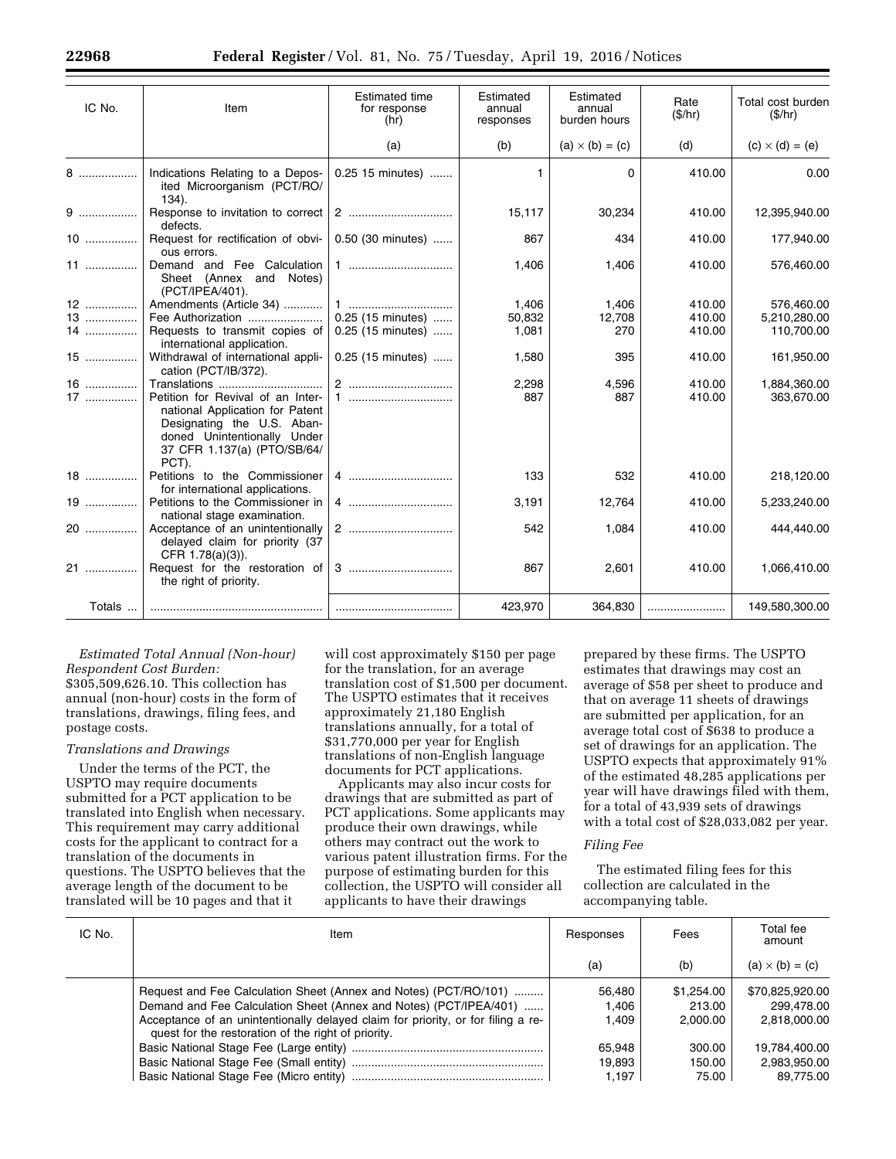| IC No. | Item                                                                                                                                                                      | <b>Estimated time</b><br>for response<br>(hr) | Estimated<br>annual<br>responses | Estimated<br>annual<br>burden hours | Rate<br>(\$/hr) | Total cost burden<br>(\$/hr) |
|--------|---------------------------------------------------------------------------------------------------------------------------------------------------------------------------|-----------------------------------------------|----------------------------------|-------------------------------------|-----------------|------------------------------|
|        |                                                                                                                                                                           | (a)                                           | (b)                              | $(a) \times (b) = (c)$              | (d)             | $(c) \times (d) = (e)$       |
| 8      | Indications Relating to a Depos-<br>ited Microorganism (PCT/RO/<br>$134$ ).                                                                                               | 0.25 15 minutes)                              | 1.                               | $\Omega$                            | 410.00          | 0.00                         |
| $9$    | Response to invitation to correct<br>defects.                                                                                                                             |                                               | 15,117                           | 30,234                              | 410.00          | 12,395,940.00                |
| $10$   | Request for rectification of obvi-<br>ous errors.                                                                                                                         | 0.50 (30 minutes)                             | 867                              | 434                                 | 410.00          | 177,940.00                   |
| 11     | Demand and Fee Calculation<br>Sheet (Annex and Notes)<br>(PCT/IPEA/401).                                                                                                  |                                               | 1,406                            | 1,406                               | 410.00          | 576,460.00                   |
| 12     | Amendments (Article 34)                                                                                                                                                   |                                               | 1,406                            | 1,406                               | 410.00          | 576,460.00                   |
| 13     | Fee Authorization                                                                                                                                                         | 0.25 (15 minutes)                             | 50,832                           | 12,708                              | 410.00          | 5,210,280.00                 |
| 14     | Requests to transmit copies of<br>international application.                                                                                                              | 0.25 (15 minutes)                             | 1,081                            | 270                                 | 410.00          | 110,700.00                   |
| $15$   | Withdrawal of international appli-<br>cation (PCT/IB/372).                                                                                                                | 0.25 (15 minutes)                             | 1,580                            | 395                                 | 410.00          | 161,950.00                   |
| $16$   | Translations                                                                                                                                                              | 2                                             | 2,298                            | 4,596                               | 410.00          | 1,884,360.00                 |
| $17$   | Petition for Revival of an Inter-<br>national Application for Patent<br>Designating the U.S. Aban-<br>doned Unintentionally Under<br>37 CFR 1.137(a) (PTO/SB/64/<br>PCT). |                                               | 887                              | 887                                 | 410.00          | 363,670.00                   |
| $18$   | Petitions to the Commissioner<br>for international applications.                                                                                                          | 4                                             | 133                              | 532                                 | 410.00          | 218,120.00                   |
| 19     | Petitions to the Commissioner in<br>national stage examination.                                                                                                           |                                               | 3,191                            | 12,764                              | 410.00          | 5,233,240.00                 |
| 20     | Acceptance of an unintentionally<br>delayed claim for priority (37<br>CFR 1.78(a)(3)).                                                                                    | 2                                             | 542                              | 1,084                               | 410.00          | 444.440.00                   |
| 21     | Request for the restoration of<br>the right of priority.                                                                                                                  |                                               | 867                              | 2,601                               | 410.00          | 1,066,410.00                 |
| Totals |                                                                                                                                                                           |                                               | 423,970                          | 364,830                             |                 | 149,580,300.00               |

# *Estimated Total Annual (Non-hour)*

*Respondent Cost Burden:*  \$305,509,626.10. This collection has annual (non-hour) costs in the form of translations, drawings, filing fees, and postage costs.

#### *Translations and Drawings*

Under the terms of the PCT, the USPTO may require documents submitted for a PCT application to be translated into English when necessary. This requirement may carry additional costs for the applicant to contract for a translation of the documents in questions. The USPTO believes that the average length of the document to be translated will be 10 pages and that it

will cost approximately \$150 per page for the translation, for an average translation cost of \$1,500 per document. The USPTO estimates that it receives approximately 21,180 English translations annually, for a total of \$31,770,000 per year for English translations of non-English language documents for PCT applications.

Applicants may also incur costs for drawings that are submitted as part of PCT applications. Some applicants may produce their own drawings, while others may contract out the work to various patent illustration firms. For the purpose of estimating burden for this collection, the USPTO will consider all applicants to have their drawings

prepared by these firms. The USPTO estimates that drawings may cost an average of \$58 per sheet to produce and that on average 11 sheets of drawings are submitted per application, for an average total cost of \$638 to produce a set of drawings for an application. The USPTO expects that approximately 91% of the estimated 48,285 applications per year will have drawings filed with them, for a total of 43,939 sets of drawings with a total cost of \$28,033,082 per year.

#### *Filing Fee*

The estimated filing fees for this collection are calculated in the accompanying table.

| IC No. | Item                                                                                                                                                                                                                                                                             | Responses                | Fees                             | Total fee<br>amount                           |
|--------|----------------------------------------------------------------------------------------------------------------------------------------------------------------------------------------------------------------------------------------------------------------------------------|--------------------------|----------------------------------|-----------------------------------------------|
|        |                                                                                                                                                                                                                                                                                  | (a)                      | (b)                              | $(a) \times (b) = (c)$                        |
|        | Request and Fee Calculation Sheet (Annex and Notes) (PCT/RO/101)<br>Demand and Fee Calculation Sheet (Annex and Notes) (PCT/IPEA/401)<br>Acceptance of an unintentionally delayed claim for priority, or for filing a re-<br>quest for the restoration of the right of priority. | 56.480<br>1.406<br>1.409 | \$1.254.00<br>213.00<br>2.000.00 | \$70.825.920.00<br>299.478.00<br>2.818.000.00 |
|        |                                                                                                                                                                                                                                                                                  | 65.948                   | 300.00                           | 19.784.400.00                                 |
|        |                                                                                                                                                                                                                                                                                  | 19,893                   | 150.00                           | 2,983,950.00                                  |
|        |                                                                                                                                                                                                                                                                                  | 1.197                    | 75.00                            | 89.775.00                                     |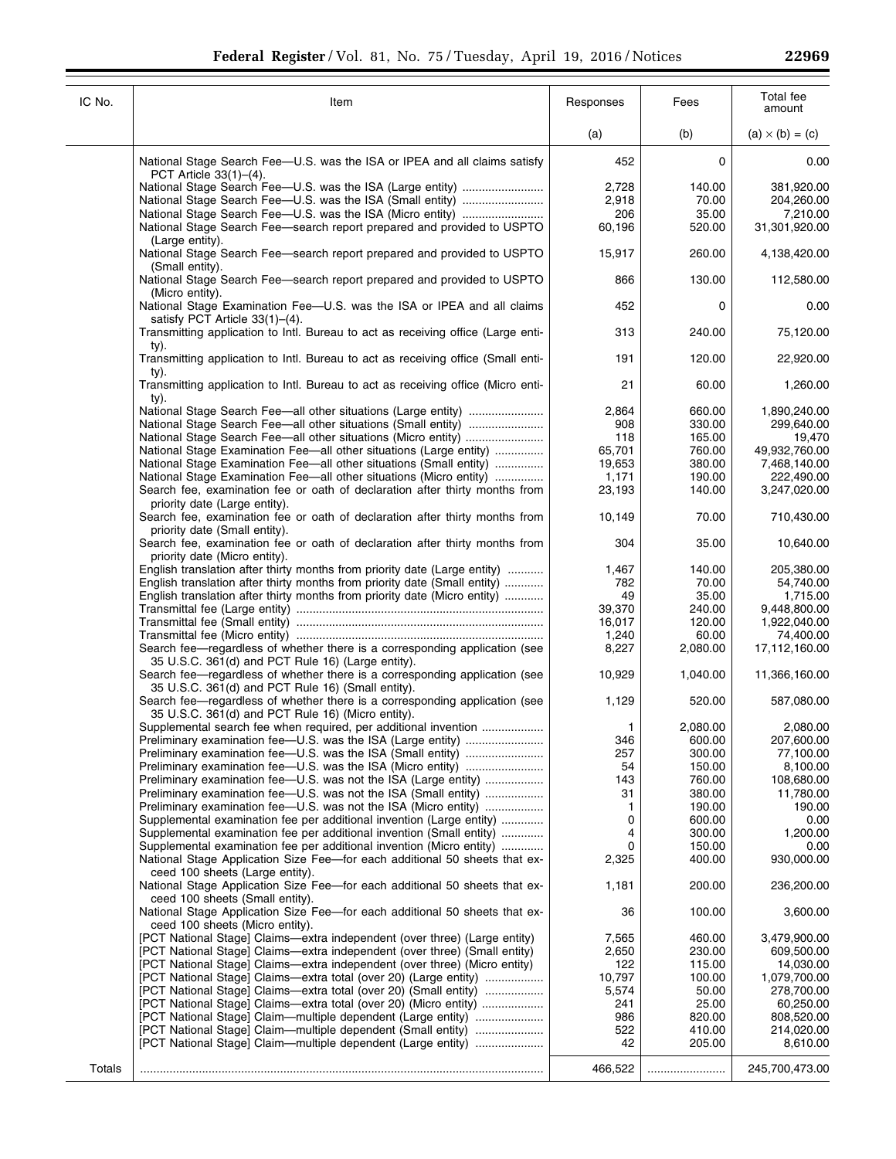| IC No. | Item                                                                                                                            | Responses | Fees     | Total fee<br>amount    |
|--------|---------------------------------------------------------------------------------------------------------------------------------|-----------|----------|------------------------|
|        |                                                                                                                                 | (a)       | (b)      | $(a) \times (b) = (c)$ |
|        | National Stage Search Fee-U.S. was the ISA or IPEA and all claims satisfy<br>PCT Article 33(1)–(4).                             | 452       | 0        | 0.00                   |
|        |                                                                                                                                 | 2,728     | 140.00   | 381,920.00             |
|        |                                                                                                                                 | 2,918     | 70.00    | 204,260.00             |
|        |                                                                                                                                 | 206       | 35.00    | 7,210.00               |
|        | National Stage Search Fee—search report prepared and provided to USPTO                                                          | 60,196    | 520.00   | 31,301,920.00          |
|        | (Large entity).                                                                                                                 |           |          |                        |
|        | National Stage Search Fee—search report prepared and provided to USPTO<br>(Small entity).                                       | 15,917    | 260.00   | 4,138,420.00           |
|        | National Stage Search Fee—search report prepared and provided to USPTO<br>(Micro entity).                                       | 866       | 130.00   | 112,580.00             |
|        | National Stage Examination Fee-U.S. was the ISA or IPEA and all claims<br>satisfy PCT Article $33(1)$ – $(4)$ .                 | 452       | 0        | 0.00                   |
|        | Transmitting application to Intl. Bureau to act as receiving office (Large enti-                                                | 313       | 240.00   | 75,120.00              |
|        | ty).<br>Transmitting application to Intl. Bureau to act as receiving office (Small enti-                                        | 191       | 120.00   | 22,920.00              |
|        | ty).<br>Transmitting application to Intl. Bureau to act as receiving office (Micro enti-                                        | 21        | 60.00    | 1,260.00               |
|        | ty).                                                                                                                            | 2,864     | 660.00   | 1,890,240.00           |
|        |                                                                                                                                 | 908       | 330.00   | 299,640.00             |
|        |                                                                                                                                 | 118       | 165.00   | 19,470                 |
|        | National Stage Examination Fee—all other situations (Large entity)                                                              | 65,701    | 760.00   | 49,932,760.00          |
|        | National Stage Examination Fee—all other situations (Small entity)                                                              | 19,653    | 380.00   | 7,468,140.00           |
|        | National Stage Examination Fee—all other situations (Micro entity)                                                              | 1,171     | 190.00   | 222,490.00             |
|        | Search fee, examination fee or oath of declaration after thirty months from<br>priority date (Large entity).                    | 23,193    | 140.00   | 3,247,020.00           |
|        | Search fee, examination fee or oath of declaration after thirty months from<br>priority date (Small entity).                    | 10,149    | 70.00    | 710,430.00             |
|        | Search fee, examination fee or oath of declaration after thirty months from<br>priority date (Micro entity).                    | 304       | 35.00    | 10,640.00              |
|        | English translation after thirty months from priority date (Large entity)                                                       | 1,467     | 140.00   | 205,380.00             |
|        | English translation after thirty months from priority date (Small entity)                                                       | 782       | 70.00    | 54,740.00              |
|        | English translation after thirty months from priority date (Micro entity)                                                       | 49        | 35.00    | 1,715.00               |
|        |                                                                                                                                 | 39,370    | 240.00   | 9,448,800.00           |
|        |                                                                                                                                 | 16,017    | 120.00   | 1,922,040.00           |
|        |                                                                                                                                 | 1,240     | 60.00    | 74,400.00              |
|        | Search fee—regardless of whether there is a corresponding application (see                                                      | 8,227     | 2,080.00 | 17,112,160.00          |
|        | 35 U.S.C. 361(d) and PCT Rule 16) (Large entity).<br>Search fee—regardless of whether there is a corresponding application (see | 10,929    | 1,040.00 | 11,366,160.00          |
|        | 35 U.S.C. 361(d) and PCT Rule 16) (Small entity).<br>Search fee—regardless of whether there is a corresponding application (see | 1,129     | 520.00   | 587,080.00             |
|        | 35 U.S.C. 361(d) and PCT Rule 16) (Micro entity).                                                                               |           |          |                        |
|        | Supplemental search fee when required, per additional invention                                                                 | 1         | 2.080.00 | 2,080.00               |
|        | Preliminary examination fee-U.S. was the ISA (Large entity)                                                                     | 346       | 600.00   | 207,600.00             |
|        |                                                                                                                                 | 257       | 300.00   | 77,100.00              |
|        |                                                                                                                                 | 54        | 150.00   | 8,100.00               |
|        | Preliminary examination fee-U.S. was not the ISA (Large entity)                                                                 | 143       | 760.00   | 108,680.00             |
|        | Preliminary examination fee—U.S. was not the ISA (Small entity)                                                                 | 31        | 380.00   | 11,780.00              |
|        | Preliminary examination fee-U.S. was not the ISA (Micro entity)                                                                 | 1         | 190.00   | 190.00                 |
|        | Supplemental examination fee per additional invention (Large entity)                                                            | 0         | 600.00   | 0.00                   |
|        | Supplemental examination fee per additional invention (Small entity)                                                            | 4         | 300.00   | 1,200.00               |
|        | Supplemental examination fee per additional invention (Micro entity)                                                            | 0         | 150.00   | 0.00                   |
|        | National Stage Application Size Fee—for each additional 50 sheets that ex-<br>ceed 100 sheets (Large entity).                   | 2,325     | 400.00   | 930,000.00             |
|        | National Stage Application Size Fee—for each additional 50 sheets that ex-<br>ceed 100 sheets (Small entity).                   | 1,181     | 200.00   | 236,200.00             |
|        | National Stage Application Size Fee—for each additional 50 sheets that ex-<br>ceed 100 sheets (Micro entity).                   | 36        | 100.00   | 3,600.00               |
|        | [PCT National Stage] Claims—extra independent (over three) (Large entity)                                                       | 7,565     | 460.00   | 3,479,900.00           |
|        | [PCT National Stage] Claims—extra independent (over three) (Small entity)                                                       | 2,650     | 230.00   | 609,500.00             |
|        | [PCT National Stage] Claims—extra independent (over three) (Micro entity)                                                       | 122       | 115.00   | 14,030.00              |
|        | [PCT National Stage] Claims—extra total (over 20) (Large entity)                                                                | 10,797    | 100.00   | 1,079,700.00           |
|        | [PCT National Stage] Claims—extra total (over 20) (Small entity)                                                                | 5,574     | 50.00    | 278,700.00             |
|        | [PCT National Stage] Claims—extra total (over 20) (Micro entity)                                                                | 241       | 25.00    | 60,250.00              |
|        | [PCT National Stage] Claim—multiple dependent (Large entity)                                                                    | 986       | 820.00   | 808,520.00             |
|        | [PCT National Stage] Claim—multiple dependent (Small entity)                                                                    | 522       | 410.00   | 214,020.00             |
|        | [PCT National Stage] Claim—multiple dependent (Large entity)                                                                    | 42        | 205.00   | 8,610.00               |
|        |                                                                                                                                 |           |          |                        |
| Totals |                                                                                                                                 | 466,522   |          | 245,700,473.00         |